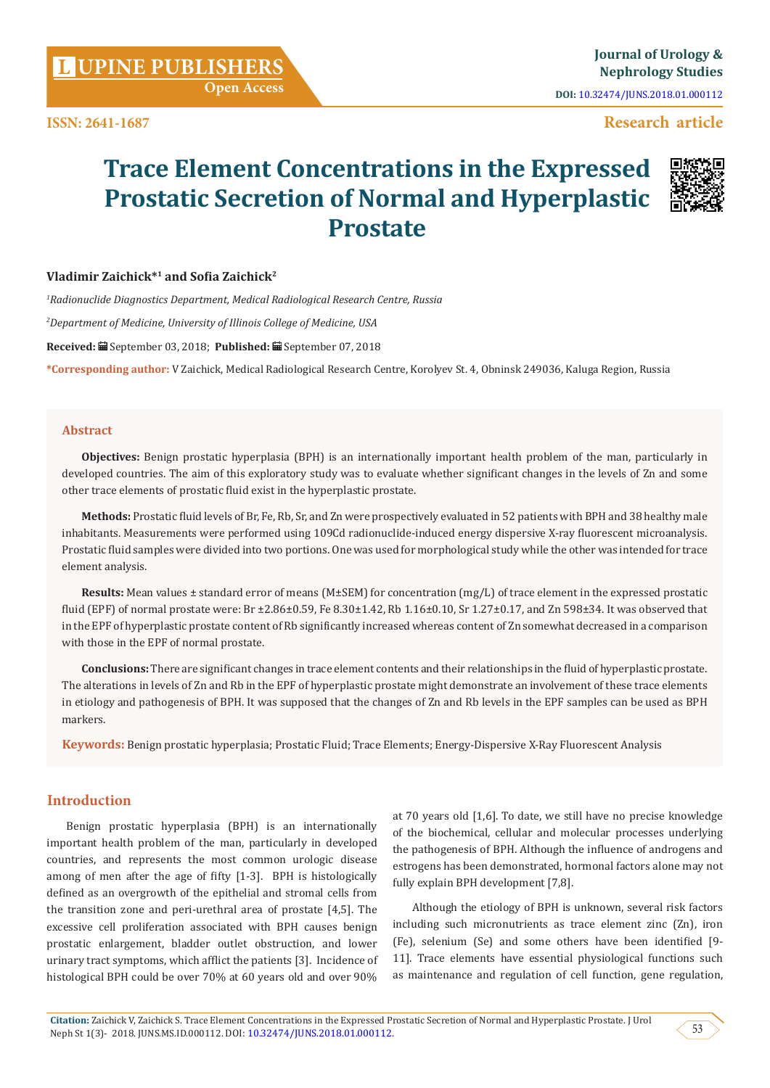**Open Access**

**DOI:** [10.32474/JUNS.2018.01.000112](http://dx.doi.org/10.32474/JUNS.2018.01.000112)

## **Research article**

# **Trace Element Concentrations in the Expressed Prostatic Secretion of Normal and Hyperplastic Prostate**



## **Vladimir Zaichick\*1 and Sofia Zaichick<sup>2</sup>**

*1 Radionuclide Diagnostics Department, Medical Radiological Research Centre, Russia* 

*2 Department of Medicine, University of Illinois College of Medicine, USA*

**Received:** September 03, 2018; **Published:** September 07, 2018

**\*Corresponding author:** V Zaichick, Medical Radiological Research Centre, Korolyev St. 4, Obninsk 249036, Kaluga Region, Russia

#### **Abstract**

**Objectives:** Benign prostatic hyperplasia (BPH) is an internationally important health problem of the man, particularly in developed countries. The aim of this exploratory study was to evaluate whether significant changes in the levels of Zn and some other trace elements of prostatic fluid exist in the hyperplastic prostate.

**Methods:** Prostatic fluid levels of Br, Fe, Rb, Sr, and Zn were prospectively evaluated in 52 patients with BPH and 38 healthy male inhabitants. Measurements were performed using 109Cd radionuclide-induced energy dispersive X-ray fluorescent microanalysis. Prostatic fluid samples were divided into two portions. One was used for morphological study while the other was intended for trace element analysis.

**Results:** Mean values ± standard error of means (M±SΕΜ) for concentration (mg/L) of trace element in the expressed prostatic fluid (EPF) of normal prostate were: Br ±2.86±0.59, Fe 8.30±1.42, Rb 1.16±0.10, Sr 1.27±0.17, and Zn 598±34. It was observed that in the EPF of hyperplastic prostate content of Rb significantly increased whereas content of Zn somewhat decreased in a comparison with those in the EPF of normal prostate.

**Conclusions:** There are significant changes in trace element contents and their relationships in the fluid of hyperplastic prostate. The alterations in levels of Zn and Rb in the EPF of hyperplastic prostate might demonstrate an involvement of these trace elements in etiology and pathogenesis of BPH. It was supposed that the changes of Zn and Rb levels in the EPF samples can be used as BPH markers.

**Keywords:** Benign prostatic hyperplasia; Prostatic Fluid; Trace Elements; Energy-Dispersive X-Ray Fluorescent Analysis

## **Introduction**

Benign prostatic hyperplasia (BPH) is an internationally important health problem of the man, particularly in developed countries, and represents the most common urologic disease among of men after the age of fifty [1-3]. BPH is histologically defined as an overgrowth of the epithelial and stromal cells from the transition zone and peri-urethral area of prostate [4,5]. The excessive cell proliferation associated with BPH causes benign prostatic enlargement, bladder outlet obstruction, and lower urinary tract symptoms, which afflict the patients [3]. Incidence of histological BPH could be over 70% at 60 years old and over 90% at 70 years old [1,6]. To date, we still have no precise knowledge of the biochemical, cellular and molecular processes underlying the pathogenesis of BPH. Although the influence of androgens and estrogens has been demonstrated, hormonal factors alone may not fully explain BPH development [7,8].

Although the etiology of BPH is unknown, several risk factors including such micronutrients as trace element zinc (Zn), iron (Fe), selenium (Se) and some others have been identified [9- 11]. Trace elements have essential physiological functions such as maintenance and regulation of cell function, gene regulation,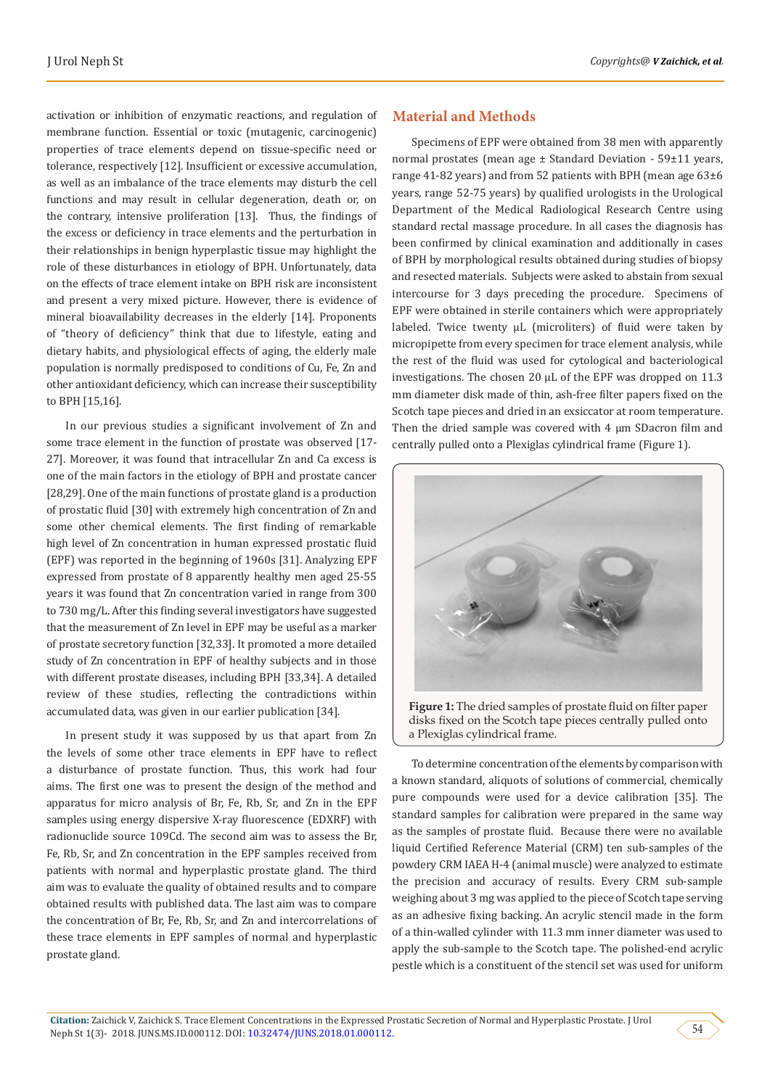activation or inhibition of enzymatic reactions, and regulation of membrane function. Essential or toxic (mutagenic, carcinogenic) properties of trace elements depend on tissue-specific need or tolerance, respectively [12]. Insufficient or excessive accumulation, as well as an imbalance of the trace elements may disturb the cell functions and may result in cellular degeneration, death or, on the contrary, intensive proliferation [13]. Thus, the findings of the excess or deficiency in trace elements and the perturbation in their relationships in benign hyperplastic tissue may highlight the role of these disturbances in etiology of BPH. Unfortunately, data on the effects of trace element intake on BPH risk are inconsistent and present a very mixed picture. However, there is evidence of mineral bioavailability decreases in the elderly [14]. Proponents of "theory of deficiency" think that due to lifestyle, eating and dietary habits, and physiological effects of aging, the elderly male population is normally predisposed to conditions of Cu, Fe, Zn and other antioxidant deficiency, which can increase their susceptibility to BPH [15,16].

In our previous studies a significant involvement of Zn and some trace element in the function of prostate was observed [17- 27]. Moreover, it was found that intracellular Zn and Ca excess is one of the main factors in the etiology of BPH and prostate cancer [28,29]. One of the main functions of prostate gland is a production of prostatic fluid [30] with extremely high concentration of Zn and some other chemical elements. The first finding of remarkable high level of Zn concentration in human expressed prostatic fluid (EPF) was reported in the beginning of 1960s [31]. Analyzing EPF expressed from prostate of 8 apparently healthy men aged 25-55 years it was found that Zn concentration varied in range from 300 to 730 mg/L. After this finding several investigators have suggested that the measurement of Zn level in EPF may be useful as a marker of prostate secretory function [32,33]. It promoted a more detailed study of Zn concentration in EPF of healthy subjects and in those with different prostate diseases, including BPH [33,34]. A detailed review of these studies, reflecting the contradictions within accumulated data, was given in our earlier publication [34].

In present study it was supposed by us that apart from Zn the levels of some other trace elements in EPF have to reflect a disturbance of prostate function. Thus, this work had four aims. The first one was to present the design of the method and apparatus for micro analysis of Br, Fe, Rb, Sr, and Zn in the EPF samples using energy dispersive X-ray fluorescence (EDXRF) with radionuclide source 109Cd. The second aim was to assess the Br, Fe, Rb, Sr, and Zn concentration in the EPF samples received from patients with normal and hyperplastic prostate gland. The third aim was to evaluate the quality of obtained results and to compare obtained results with published data. The last aim was to compare the concentration of Br, Fe, Rb, Sr, and Zn and intercorrelations of these trace elements in EPF samples of normal and hyperplastic prostate gland.

#### **Material and Methods**

Specimens of EPF were obtained from 38 men with apparently normal prostates (mean age ± Standard Deviation - 59±11 years, range 41-82 years) and from 52 patients with BPH (mean age 63±6 years, range 52-75 years) by qualified urologists in the Urological Department of the Medical Radiological Research Centre using standard rectal massage procedure. In all cases the diagnosis has been confirmed by clinical examination and additionally in cases of BPH by morphological results obtained during studies of biopsy and resected materials. Subjects were asked to abstain from sexual intercourse for 3 days preceding the procedure. Specimens of EPF were obtained in sterile containers which were appropriately labeled. Twice twenty μL (microliters) of fluid were taken by micropipette from every specimen for trace element analysis, while the rest of the fluid was used for cytological and bacteriological investigations. The chosen 20 μL of the EPF was dropped on 11.3 mm diameter disk made of thin, ash-free filter papers fixed on the Scotch tape pieces and dried in an exsiccator at room temperature. Then the dried sample was covered with 4 μm SDacron film and centrally pulled onto a Plexiglas cylindrical frame (Figure 1).



disks fixed on the Scotch tape pieces centrally pulled onto a Plexiglas cylindrical frame.

To determine concentration of the elements by comparison with a known standard, aliquots of solutions of commercial, chemically pure compounds were used for a device calibration [35]. The standard samples for calibration were prepared in the same way as the samples of prostate fluid. Because there were no available liquid Certified Reference Material (CRM) ten sub-samples of the powdery CRM IAEA H-4 (animal muscle) were analyzed to estimate the precision and accuracy of results. Every CRM sub-sample weighing about 3 mg was applied to the piece of Scotch tape serving as an adhesive fixing backing. An acrylic stencil made in the form of a thin-walled cylinder with 11.3 mm inner diameter was used to apply the sub-sample to the Scotch tape. The polished-end acrylic pestle which is a constituent of the stencil set was used for uniform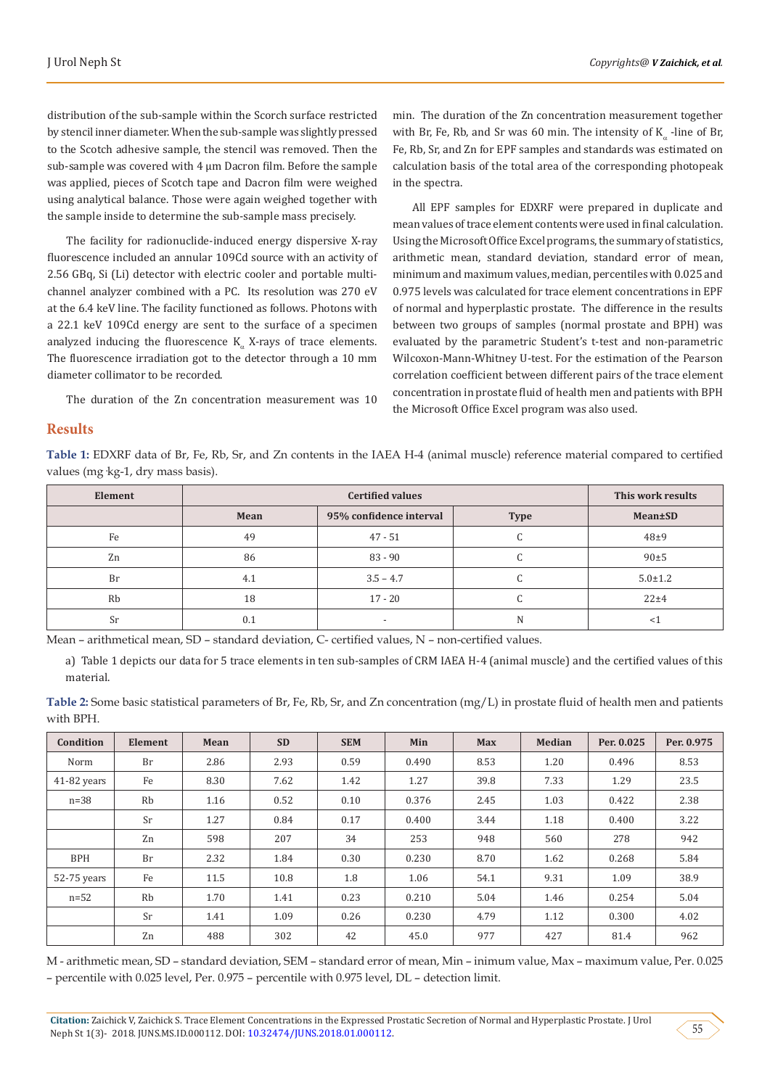distribution of the sub-sample within the Scorch surface restricted by stencil inner diameter. When the sub-sample was slightly pressed to the Scotch adhesive sample, the stencil was removed. Then the sub-sample was covered with 4 μm Dacron film. Before the sample was applied, pieces of Scotch tape and Dacron film were weighed using analytical balance. Those were again weighed together with the sample inside to determine the sub-sample mass precisely.

The facility for radionuclide-induced energy dispersive X-ray fluorescence included an annular 109Cd source with an activity of 2.56 GBq, Si (Li) detector with electric cooler and portable multichannel analyzer combined with a PC. Its resolution was 270 eV at the 6.4 keV line. The facility functioned as follows. Photons with a 22.1 keV 109Cd energy are sent to the surface of a specimen analyzed inducing the fluorescence  $K_a$  X-rays of trace elements. The fluorescence irradiation got to the detector through a 10 mm diameter collimator to be recorded.

The duration of the Zn concentration measurement was 10

min. The duration of the Zn concentration measurement together with Br, Fe, Rb, and Sr was 60 min. The intensity of  $K_a$  -line of Br, Fe, Rb, Sr, and Zn for EPF samples and standards was estimated on calculation basis of the total area of the corresponding photopeak in the spectra.

All EPF samples for EDXRF were prepared in duplicate and mean values of trace element contents were used in final calculation. Using the Microsoft Office Excel programs, the summary of statistics, arithmetic mean, standard deviation, standard error of mean, minimum and maximum values, median, percentiles with 0.025 and 0.975 levels was calculated for trace element concentrations in EPF of normal and hyperplastic prostate. The difference in the results between two groups of samples (normal prostate and BPH) was evaluated by the parametric Student's t-test and non-parametric Wilcoxon-Mann-Whitney U-test. For the estimation of the Pearson correlation coefficient between different pairs of the trace element concentration in prostate fluid of health men and patients with BPH the Microsoft Office Excel program was also used.

#### **Results**

**Table 1:** EDXRF data of Br, Fe, Rb, Sr, and Zn contents in the IAEA H-4 (animal muscle) reference material compared to certified values (mg·kg-1, dry mass basis).

| Element |      | This work results        |             |               |
|---------|------|--------------------------|-------------|---------------|
|         | Mean | 95% confidence interval  | <b>Type</b> | Mean±SD       |
| Fe      | 49   | $47 - 51$                |             | $48\pm9$      |
| Zn      | 86   | $83 - 90$                | u           | 90±5          |
| Br      | 4.1  | $3.5 - 4.7$              | u           | $5.0 \pm 1.2$ |
| Rb      | 18   | $17 - 20$                |             | 22±4          |
| Sr      | 0.1  | $\overline{\phantom{0}}$ | N           |               |

Mean – arithmetical mean, SD – standard deviation, C- certified values, N – non-certified values.

a) Table 1 depicts our data for 5 trace elements in ten sub-samples of CRM IAEA H-4 (animal muscle) and the certified values of this material.

**Table 2:** Some basic statistical parameters of Br, Fe, Rb, Sr, and Zn concentration (mg/L) in prostate fluid of health men and patients with BPH.

| Condition   | <b>Element</b> | Mean | <b>SD</b> | <b>SEM</b> | Min   | <b>Max</b> | <b>Median</b> | Per. 0.025 | Per. 0.975 |
|-------------|----------------|------|-----------|------------|-------|------------|---------------|------------|------------|
| Norm        | Br             | 2.86 | 2.93      | 0.59       | 0.490 | 8.53       | 1.20          | 0.496      | 8.53       |
| 41-82 years | Fe             | 8.30 | 7.62      | 1.42       | 1.27  | 39.8       | 7.33          | 1.29       | 23.5       |
| $n=38$      | Rb             | 1.16 | 0.52      | 0.10       | 0.376 | 2.45       | 1.03          | 0.422      | 2.38       |
|             | Sr             | 1.27 | 0.84      | 0.17       | 0.400 | 3.44       | 1.18          | 0.400      | 3.22       |
|             | Zn             | 598  | 207       | 34         | 253   | 948        | 560           | 278        | 942        |
| <b>BPH</b>  | Br             | 2.32 | 1.84      | 0.30       | 0.230 | 8.70       | 1.62          | 0.268      | 5.84       |
| 52-75 years | Fe             | 11.5 | 10.8      | 1.8        | 1.06  | 54.1       | 9.31          | 1.09       | 38.9       |
| $n=52$      | Rb             | 1.70 | 1.41      | 0.23       | 0.210 | 5.04       | 1.46          | 0.254      | 5.04       |
|             | Sr             | 1.41 | 1.09      | 0.26       | 0.230 | 4.79       | 1.12          | 0.300      | 4.02       |
|             | Zn             | 488  | 302       | 42         | 45.0  | 977        | 427           | 81.4       | 962        |

M - arithmetic mean, SD – standard deviation, SEM – standard error of mean, Min – inimum value, Max – maximum value, Per. 0.025 – percentile with 0.025 level, Per. 0.975 – percentile with 0.975 level, DL – detection limit.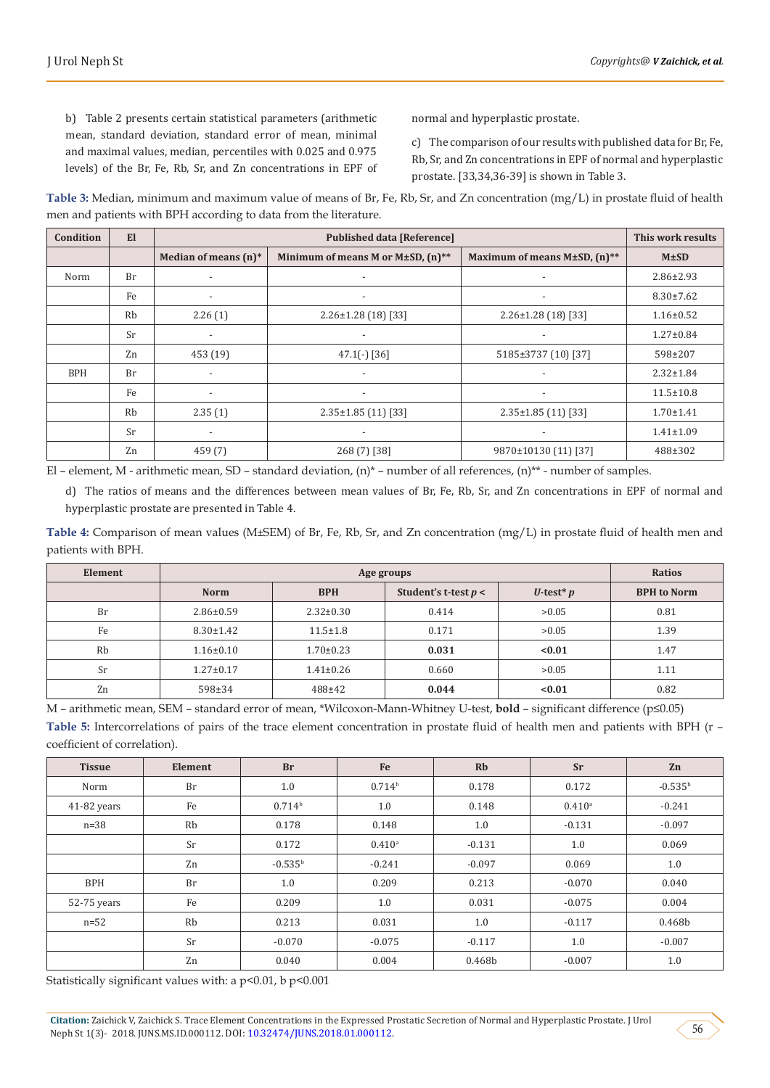b) Table 2 presents certain statistical parameters (arithmetic mean, standard deviation, standard error of mean, minimal and maximal values, median, percentiles with 0.025 and 0.975 levels) of the Br, Fe, Rb, Sr, and Zn concentrations in EPF of normal and hyperplastic prostate.

c) The comparison of our results with published data for Br, Fe, Rb, Sr, and Zn concentrations in EPF of normal and hyperplastic prostate. [33,34,36-39] is shown in Table 3.

**Table 3:** Median, minimum and maximum value of means of Br, Fe, Rb, Sr, and Zn concentration (mg/L) in prostate fluid of health men and patients with BPH according to data from the literature.

| Condition  | El             |                          | This work results                         |                              |                 |
|------------|----------------|--------------------------|-------------------------------------------|------------------------------|-----------------|
|            |                | Median of means $(n)^*$  | Minimum of means M or $M\pm SD$ , $(n)**$ | Maximum of means M±SD, (n)** | $M \pm SD$      |
| Norm       | <b>Br</b>      | $\overline{\phantom{a}}$ | $\overline{\phantom{a}}$                  | $\overline{\phantom{a}}$     | $2.86 \pm 2.93$ |
|            | Fe             | $\overline{\phantom{a}}$ |                                           |                              | $8.30 \pm 7.62$ |
|            | Rb             | 2.26(1)                  | $2.26 \pm 1.28$ (18) [33]                 | $2.26 \pm 1.28$ (18) [33]    | $1.16 \pm 0.52$ |
|            | <b>Sr</b>      | $\overline{\phantom{a}}$ |                                           |                              | $1.27 \pm 0.84$ |
|            | Z <sub>n</sub> | 453 (19)                 | $47.1(-)$ [36]                            | 5185±3737 (10) [37]          | 598±207         |
| <b>BPH</b> | <b>Br</b>      | $\overline{\phantom{a}}$ | $\overline{\phantom{a}}$                  | $\overline{\phantom{a}}$     | $2.32 \pm 1.84$ |
|            | Fe             |                          | $\overline{\phantom{a}}$                  | $\overline{\phantom{a}}$     | $11.5 \pm 10.8$ |
|            | Rb             | 2.35(1)                  | $2.35 \pm 1.85$ (11) [33]                 | $2.35 \pm 1.85$ (11) [33]    | $1.70 \pm 1.41$ |
|            | <b>Sr</b>      |                          |                                           | $\overline{\phantom{a}}$     | $1.41 \pm 1.09$ |
|            | Zn             | 459(7)                   | 268 (7) [38]                              | 9870±10130 (11) [37]         | 488±302         |

El – element, M - arithmetic mean, SD – standard deviation,  $(n)^*$  – number of all references,  $(n)^{**}$  - number of samples.

d) The ratios of means and the differences between mean values of Br, Fe, Rb, Sr, and Zn concentrations in EPF of normal and hyperplastic prostate are presented in Table 4.

**Table 4:** Comparison of mean values (M±SEM) of Br, Fe, Rb, Sr, and Zn concentration (mg/L) in prostate fluid of health men and patients with BPH.

| Element |                 | <b>Ratios</b>   |                        |                         |                    |
|---------|-----------------|-----------------|------------------------|-------------------------|--------------------|
|         | <b>Norm</b>     | <b>BPH</b>      | Student's t-test $p <$ | U-test <sup>*</sup> $p$ | <b>BPH</b> to Norm |
| Br      | $2.86 \pm 0.59$ | $2.32 \pm 0.30$ | 0.414                  | >0.05                   | 0.81               |
| Fe      | $8.30 \pm 1.42$ | $11.5 \pm 1.8$  | 0.171                  | >0.05                   | 1.39               |
| Rb      | $1.16 \pm 0.10$ | $1.70 \pm 0.23$ | 0.031                  | < 0.01                  | 1.47               |
| Sr      | $1.27 \pm 0.17$ | $1.41 \pm 0.26$ | 0.660                  | >0.05                   | 1.11               |
| Zn      | $598 \pm 34$    | $488 + 42$      | 0.044                  | < 0.01                  | 0.82               |

M – arithmetic mean, SEM – standard error of mean, \*Wilcoxon-Mann-Whitney U-test, **bold** – significant difference (p≤0.05) **Table 5:** Intercorrelations of pairs of the trace element concentration in prostate fluid of health men and patients with BPH (r – coefficient of correlation).

| <b>Tissue</b> | Element | <b>Br</b>          | Fe                   | <b>Rb</b> | <b>Sr</b>            | Zn           |
|---------------|---------|--------------------|----------------------|-----------|----------------------|--------------|
| Norm          | Br      | 1.0                | 0.714 <sup>b</sup>   | 0.178     | 0.172                | $-0.535^{b}$ |
| 41-82 years   | Fe      | 0.714 <sup>b</sup> | 1.0                  | 0.148     | $0.410$ <sup>a</sup> | $-0.241$     |
| $n=38$        | Rb      | 0.178              | 0.148                | 1.0       | $-0.131$             | $-0.097$     |
|               | Sr      | 0.172              | $0.410$ <sup>a</sup> | $-0.131$  | 1.0                  | 0.069        |
|               | Zn      | $-0.535^{\rm b}$   | $-0.241$             | $-0.097$  | 0.069                | 1.0          |
| <b>BPH</b>    | Br      | 1.0                | 0.209                | 0.213     | $-0.070$             | 0.040        |
| 52-75 years   | Fe      | 0.209              | 1.0                  | 0.031     | $-0.075$             | 0.004        |
| $n=52$        | Rb      | 0.213              | 0.031                | 1.0       | $-0.117$             | 0.468b       |
|               | Sr      | $-0.070$           | $-0.075$             | $-0.117$  | 1.0                  | $-0.007$     |
|               | Zn      | 0.040              | 0.004                | 0.468b    | $-0.007$             | 1.0          |

Statistically significant values with: a p<0.01, b p<0.001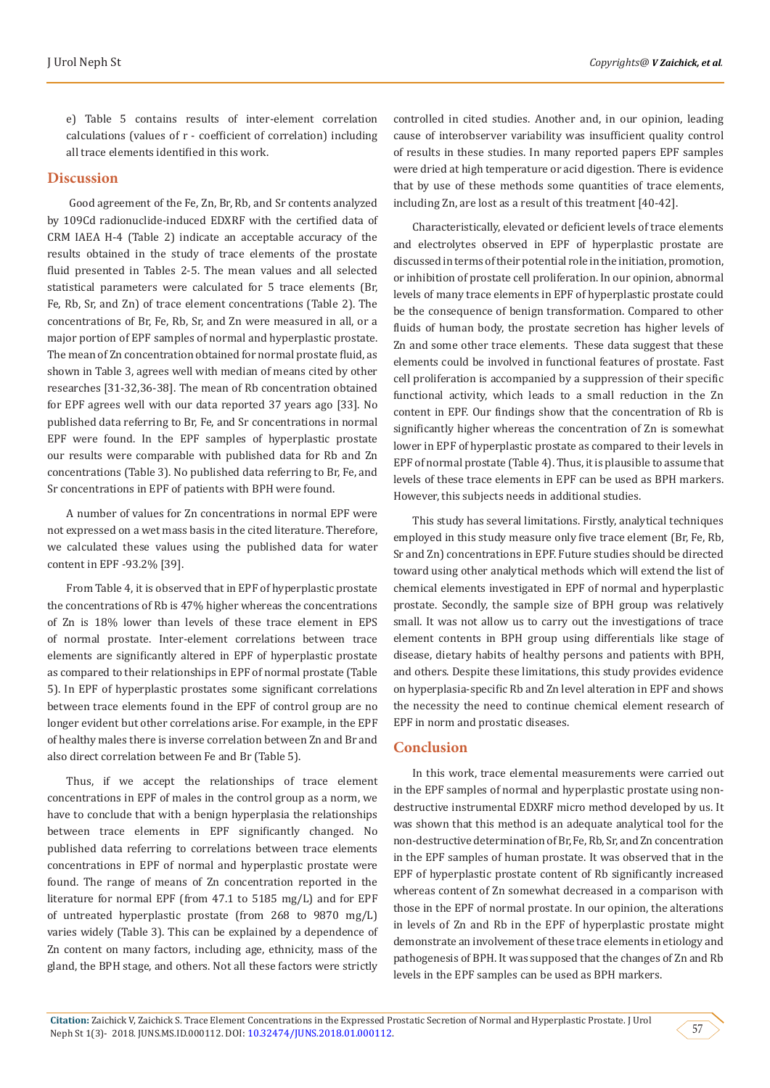e) Table 5 contains results of inter-element correlation calculations (values of r - coefficient of correlation) including all trace elements identified in this work.

#### **Discussion**

 Good agreement of the Fe, Zn, Br, Rb, and Sr contents analyzed by 109Cd radionuclide-induced EDXRF with the certified data of CRM IAEA H-4 (Table 2) indicate an acceptable accuracy of the results obtained in the study of trace elements of the prostate fluid presented in Tables 2-5. The mean values and all selected statistical parameters were calculated for 5 trace elements (Br, Fe, Rb, Sr, and Zn) of trace element concentrations (Table 2). The concentrations of Br, Fe, Rb, Sr, and Zn were measured in all, or a major portion of EPF samples of normal and hyperplastic prostate. The mean of Zn concentration obtained for normal prostate fluid, as shown in Table 3, agrees well with median of means cited by other researches [31-32,36-38]. The mean of Rb concentration obtained for EPF agrees well with our data reported 37 years ago [33]. No published data referring to Br, Fe, and Sr concentrations in normal EPF were found. In the EPF samples of hyperplastic prostate our results were comparable with published data for Rb and Zn concentrations (Table 3). No published data referring to Br, Fe, and Sr concentrations in EPF of patients with BPH were found.

A number of values for Zn concentrations in normal EPF were not expressed on a wet mass basis in the cited literature. Therefore, we calculated these values using the published data for water content in EPF -93.2% [39].

From Table 4, it is observed that in EPF of hyperplastic prostate the concentrations of Rb is 47% higher whereas the concentrations of Zn is 18% lower than levels of these trace element in EPS of normal prostate. Inter-element correlations between trace elements are significantly altered in EPF of hyperplastic prostate as compared to their relationships in EPF of normal prostate (Table 5). In EPF of hyperplastic prostates some significant correlations between trace elements found in the EPF of control group are no longer evident but other correlations arise. For example, in the EPF of healthy males there is inverse correlation between Zn and Br and also direct correlation between Fe and Br (Table 5).

Thus, if we accept the relationships of trace element concentrations in EPF of males in the control group as a norm, we have to conclude that with a benign hyperplasia the relationships between trace elements in EPF significantly changed. No published data referring to correlations between trace elements concentrations in EPF of normal and hyperplastic prostate were found. The range of means of Zn concentration reported in the literature for normal EPF (from 47.1 to 5185 mg/L) and for EPF of untreated hyperplastic prostate (from 268 to 9870 mg/L) varies widely (Table 3). This can be explained by a dependence of Zn content on many factors, including age, ethnicity, mass of the gland, the BPH stage, and others. Not all these factors were strictly

controlled in cited studies. Another and, in our opinion, leading cause of interobserver variability was insufficient quality control of results in these studies. In many reported papers EPF samples were dried at high temperature or acid digestion. There is evidence that by use of these methods some quantities of trace elements, including Zn, are lost as a result of this treatment [40-42].

Characteristically, elevated or deficient levels of trace elements and electrolytes observed in EPF of hyperplastic prostate are discussed in terms of their potential role in the initiation, promotion, or inhibition of prostate cell proliferation. In our opinion, abnormal levels of many trace elements in EPF of hyperplastic prostate could be the consequence of benign transformation. Compared to other fluids of human body, the prostate secretion has higher levels of Zn and some other trace elements. These data suggest that these elements could be involved in functional features of prostate. Fast cell proliferation is accompanied by a suppression of their specific functional activity, which leads to a small reduction in the Zn content in EPF. Our findings show that the concentration of Rb is significantly higher whereas the concentration of Zn is somewhat lower in EPF of hyperplastic prostate as compared to their levels in EPF of normal prostate (Table 4). Thus, it is plausible to assume that levels of these trace elements in EPF can be used as BPH markers. However, this subjects needs in additional studies.

This study has several limitations. Firstly, analytical techniques employed in this study measure only five trace element (Br, Fe, Rb, Sr and Zn) concentrations in EPF. Future studies should be directed toward using other analytical methods which will extend the list of chemical elements investigated in EPF of normal and hyperplastic prostate. Secondly, the sample size of BPH group was relatively small. It was not allow us to carry out the investigations of trace element contents in BPH group using differentials like stage of disease, dietary habits of healthy persons and patients with BPH, and others. Despite these limitations, this study provides evidence on hyperplasia-specific Rb and Zn level alteration in EPF and shows the necessity the need to continue chemical element research of EPF in norm and prostatic diseases.

#### **Conclusion**

In this work, trace elemental measurements were carried out in the EPF samples of normal and hyperplastic prostate using nondestructive instrumental EDXRF micro method developed by us. It was shown that this method is an adequate analytical tool for the non-destructive determination of Br, Fe, Rb, Sr, and Zn concentration in the EPF samples of human prostate. It was observed that in the EPF of hyperplastic prostate content of Rb significantly increased whereas content of Zn somewhat decreased in a comparison with those in the EPF of normal prostate. In our opinion, the alterations in levels of Zn and Rb in the EPF of hyperplastic prostate might demonstrate an involvement of these trace elements in etiology and pathogenesis of BPH. It was supposed that the changes of Zn and Rb levels in the EPF samples can be used as BPH markers.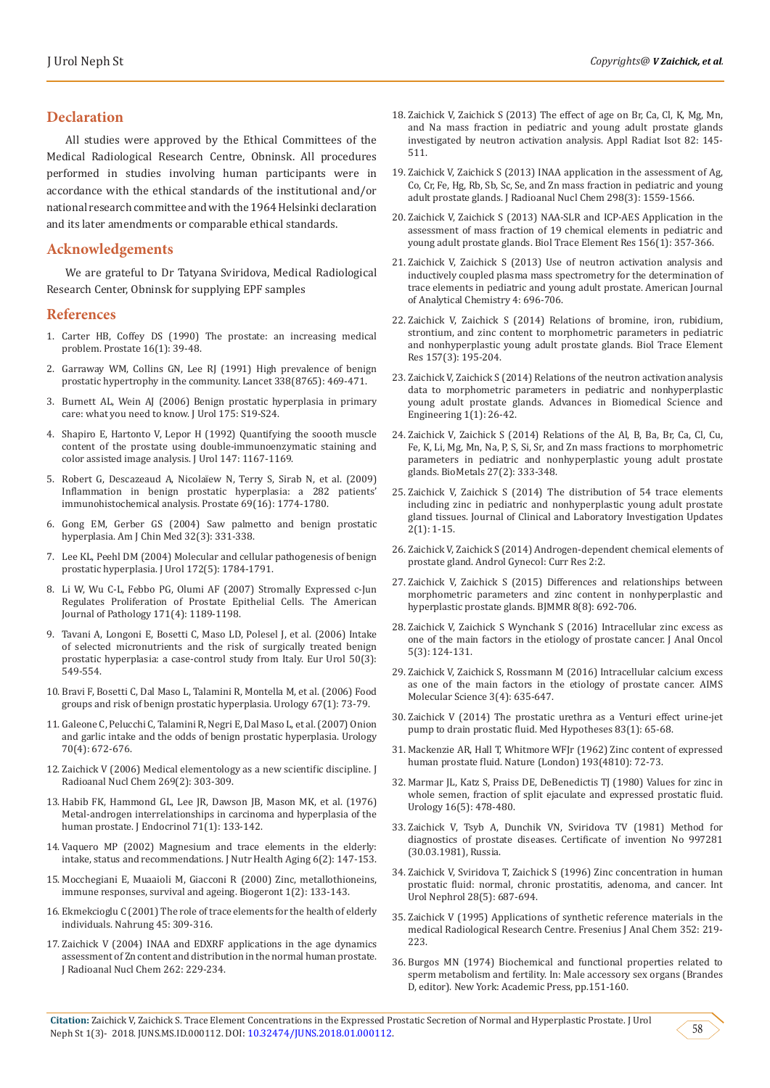#### **Declaration**

All studies were approved by the Ethical Committees of the Medical Radiological Research Centre, Obninsk. All procedures performed in studies involving human participants were in accordance with the ethical standards of the institutional and/or national research committee and with the 1964 Helsinki declaration and its later amendments or comparable ethical standards.

### **Acknowledgements**

We are grateful to Dr Tatyana Sviridova, Medical Radiological Research Center, Obninsk for supplying EPF samples

#### **References**

- 1. [Carter HB, Coffey DS \(1990\) The prostate: an increasing medical](https://onlinelibrary.wiley.com/doi/abs/10.1002/pros.2990160105)  [problem. Prostate 16\(1\): 39-48](https://onlinelibrary.wiley.com/doi/abs/10.1002/pros.2990160105).
- 2. [Garraway WM, Collins GN, Lee RJ \(1991\) High prevalence of benign](https://www.ncbi.nlm.nih.gov/pubmed/1714529)  [prostatic hypertrophy in the community. Lancet 338\(8765\): 469-471.](https://www.ncbi.nlm.nih.gov/pubmed/1714529)
- 3. [Burnett AL, Wein AJ \(2006\) Benign prostatic hyperplasia in primary](https://www.ncbi.nlm.nih.gov/pubmed/16458735)  [care: what you need to know. J Urol 175: S19-S24.](https://www.ncbi.nlm.nih.gov/pubmed/16458735)
- 4. Shapiro E, Hartonto V, Lepor H (1992) Quantifying the soooth muscle content of the prostate using double-immunoenzymatic staining and color assisted image analysis. J Urol 147: 1167-1169.
- 5. [Robert G, Descazeaud A, Nicolaïew N, Terry S, Sirab N, et al. \(2009\)](https://www.ncbi.nlm.nih.gov/pmc/articles/PMC2833181/)  [Inflammation in benign prostatic hyperplasia: a 282 patients'](https://www.ncbi.nlm.nih.gov/pmc/articles/PMC2833181/)  [immunohistochemical analysis. Prostate 69\(16\): 1774-1780.](https://www.ncbi.nlm.nih.gov/pmc/articles/PMC2833181/)
- 6. [Gong EM, Gerber GS \(2004\) Saw palmetto and benign prostatic](https://www.ncbi.nlm.nih.gov/pubmed/15344416)  [hyperplasia. Am J Chin Med 32\(3\): 331-338.](https://www.ncbi.nlm.nih.gov/pubmed/15344416)
- 7. [Lee KL, Peehl DM \(2004\) Molecular and cellular pathogenesis of benign](https://www.ncbi.nlm.nih.gov/pubmed/15540721)  [prostatic hyperplasia. J Urol 172\(5\): 1784-1791.](https://www.ncbi.nlm.nih.gov/pubmed/15540721)
- 8. [Li W, Wu C-L, Febbo PG, Olumi AF \(2007\) Stromally Expressed c-Jun](https://www.ncbi.nlm.nih.gov/pmc/articles/PMC1988869/)  [Regulates Proliferation of Prostate Epithelial Cells. The American](https://www.ncbi.nlm.nih.gov/pmc/articles/PMC1988869/)  [Journal of Pathology 171\(4\): 1189-1198.](https://www.ncbi.nlm.nih.gov/pmc/articles/PMC1988869/)
- 9. [Tavani A, Longoni E, Bosetti C, Maso LD, Polesel J, et al. \(2006\) Intake](https://www.ncbi.nlm.nih.gov/pubmed/16442205)  [of selected micronutrients and the risk of surgically treated benign](https://www.ncbi.nlm.nih.gov/pubmed/16442205)  [prostatic hyperplasia: a case-control study from Italy. Eur Urol 50\(3\):](https://www.ncbi.nlm.nih.gov/pubmed/16442205)  [549-554.](https://www.ncbi.nlm.nih.gov/pubmed/16442205)
- 10. [Bravi F, Bosetti C, Dal Maso L, Talamini R, Montella M, et al. \(2006\) Food](https://www.ncbi.nlm.nih.gov/pubmed/16413336)  [groups and risk of benign prostatic hyperplasia. Urology 67\(1\): 73-79.](https://www.ncbi.nlm.nih.gov/pubmed/16413336)
- 11. [Galeone C, Pelucchi C, Talamini R, Negri E, Dal Maso L, et al. \(2007\) Onion](https://www.ncbi.nlm.nih.gov/pubmed/17991535)  [and garlic intake and the odds of benign prostatic hyperplasia. Urology](https://www.ncbi.nlm.nih.gov/pubmed/17991535)  [70\(4\): 672-676.](https://www.ncbi.nlm.nih.gov/pubmed/17991535)
- 12. [Zaichick V \(2006\) Medical elementology as a new scientific discipline. J](https://link.springer.com/article/10.1007/s10967-006-0383-3)  [Radioanal Nucl Chem 269\(2\): 303-309.](https://link.springer.com/article/10.1007/s10967-006-0383-3)
- 13. Habib FK, Hammond GL, Lee JR, Dawson JB, Mason MK, et al. (1976) Metal-androgen interrelationships in carcinoma and hyperplasia of the human prostate. J Endocrinol 71(1): 133-142.
- 14. [Vaquero MP \(2002\) Magnesium and trace elements in the elderly:](https://www.ncbi.nlm.nih.gov/pubmed/12166371)  [intake, status and recommendations. J Nutr Health Aging 6\(2\): 147-153.](https://www.ncbi.nlm.nih.gov/pubmed/12166371)
- 15. [Mocchegiani E, Muaaioli M, Giacconi R \(2000\) Zinc, metallothioneins,](https://www.ncbi.nlm.nih.gov/pubmed/11707929)  [immune responses, survival and ageing. Biogeront 1\(2\): 133-143.](https://www.ncbi.nlm.nih.gov/pubmed/11707929)
- 16. [Ekmekcioglu C \(2001\) The role of trace elements for the health of elderly](https://www.ncbi.nlm.nih.gov/pubmed/11715341)  [individuals. Nahrung 45: 309-316.](https://www.ncbi.nlm.nih.gov/pubmed/11715341)
- 17. Zaichick V (2004) INAA and EDXRF applications in the age dynamics assessment of Zn content and distribution in the normal human prostate. J Radioanal Nucl Chem 262: 229-234.
- 18. Zaichick V, Zaichick S (2013) The effect of age on Br, Ca, Cl, K, Mg, Mn, and Na mass fraction in pediatric and young adult prostate glands investigated by neutron activation analysis. Appl Radiat Isot 82: 145- 511.
- 19. [Zaichick V, Zaichick S \(2013\) INAA application in the assessment of Ag,](https://www.researchgate.net/publication/257612120_INAA_application_in_the_assessment_of_Ag_Co_Cr_Fe_Hg_Rb_Sb_Sc_Se_and_Zn_mass_fraction_in_pediatric_and_young_adult_prostate_glands) [Co, Cr, Fe, Hg, Rb, Sb, Sc, Se, and Zn mass fraction in pediatric and young](https://www.researchgate.net/publication/257612120_INAA_application_in_the_assessment_of_Ag_Co_Cr_Fe_Hg_Rb_Sb_Sc_Se_and_Zn_mass_fraction_in_pediatric_and_young_adult_prostate_glands) [adult prostate glands. J Radioanal Nucl Chem 298\(3\): 1559-1566.](https://www.researchgate.net/publication/257612120_INAA_application_in_the_assessment_of_Ag_Co_Cr_Fe_Hg_Rb_Sb_Sc_Se_and_Zn_mass_fraction_in_pediatric_and_young_adult_prostate_glands)
- 20. [Zaichick V, Zaichick S \(2013\) NAA-SLR and ICP-AES Application in the](https://www.semanticscholar.org/paper/NAA-SLR-and-ICP-AES-Application-in-the-Assessment-Zaichick-Zaichick/5e8af8b679b477cb55168f76b6db91b68bb87c3f) [assessment of mass fraction of 19 chemical elements in pediatric and](https://www.semanticscholar.org/paper/NAA-SLR-and-ICP-AES-Application-in-the-Assessment-Zaichick-Zaichick/5e8af8b679b477cb55168f76b6db91b68bb87c3f) [young adult prostate glands. Biol Trace Element Res 156\(1\): 357-366](https://www.semanticscholar.org/paper/NAA-SLR-and-ICP-AES-Application-in-the-Assessment-Zaichick-Zaichick/5e8af8b679b477cb55168f76b6db91b68bb87c3f).
- 21. [Zaichick V, Zaichick S \(2013\) Use of neutron activation analysis and](https://www.scirp.org/Journal/PaperInformation.aspx?PaperID=40340) [inductively coupled plasma mass spectrometry for the determination of](https://www.scirp.org/Journal/PaperInformation.aspx?PaperID=40340) [trace elements in pediatric and young adult prostate. American Journal](https://www.scirp.org/Journal/PaperInformation.aspx?PaperID=40340) [of Analytical Chemistry 4: 696-706.](https://www.scirp.org/Journal/PaperInformation.aspx?PaperID=40340)
- 22. [Zaichick V, Zaichick S \(2014\) Relations of bromine, iron, rubidium,](https://www.ncbi.nlm.nih.gov/pubmed/24435825) [strontium, and zinc content to morphometric parameters in pediatric](https://www.ncbi.nlm.nih.gov/pubmed/24435825) [and nonhyperplastic young adult prostate glands. Biol Trace Element](https://www.ncbi.nlm.nih.gov/pubmed/24435825) [Res 157\(3\): 195-204.](https://www.ncbi.nlm.nih.gov/pubmed/24435825)
- 23. Zaichick V, Zaichick S (2014) Relations of the neutron activation analysis data to morphometric parameters in pediatric and nonhyperplastic young adult prostate glands. Advances in Biomedical Science and Engineering 1(1): 26-42.
- 24. [Zaichick V, Zaichick S \(2014\) Relations of the Al, B, Ba, Br, Ca, Cl, Cu,](https://www.ncbi.nlm.nih.gov/pubmed/24554283) [Fe, K, Li, Mg, Mn, Na, P, S, Si, Sr, and Zn mass fractions to morphometric](https://www.ncbi.nlm.nih.gov/pubmed/24554283) [parameters in pediatric and nonhyperplastic young adult prostate](https://www.ncbi.nlm.nih.gov/pubmed/24554283) [glands. BioMetals 27\(2\): 333-348.](https://www.ncbi.nlm.nih.gov/pubmed/24554283)
- 25. [Zaichick V, Zaichick S \(2014\) The distribution of 54 trace elements](https://www.jpmpress.com/jcliu-v2i1a1/) [including zinc in pediatric and nonhyperplastic young adult prostate](https://www.jpmpress.com/jcliu-v2i1a1/) [gland tissues. Journal of Clinical and Laboratory Investigation Updates](https://www.jpmpress.com/jcliu-v2i1a1/) [2\(1\): 1-15](https://www.jpmpress.com/jcliu-v2i1a1/).
- 26. [Zaichick V, Zaichick S \(2014\) Androgen-dependent chemical elements of](https://www.scitechnol.com/androgendependent-chemical-elements-of-prostate-gland-G1af.php?article_id=1902) [prostate gland. Androl Gynecol: Curr Res 2:2](https://www.scitechnol.com/androgendependent-chemical-elements-of-prostate-gland-G1af.php?article_id=1902).
- 27. [Zaichick V, Zaichick S \(2015\) Differences and relationships between](https://www.researchgate.net/publication/277968829_Differences_and_Relationships_between_Morphometric_Parameters_and_Zinc_Content_in_Nonhyperplastic_and_Hyperplastic_Prostate_Glands) [morphometric parameters and zinc content in nonhyperplastic and](https://www.researchgate.net/publication/277968829_Differences_and_Relationships_between_Morphometric_Parameters_and_Zinc_Content_in_Nonhyperplastic_and_Hyperplastic_Prostate_Glands) [hyperplastic prostate glands. BJMMR 8\(8\): 692-706.](https://www.researchgate.net/publication/277968829_Differences_and_Relationships_between_Morphometric_Parameters_and_Zinc_Content_in_Nonhyperplastic_and_Hyperplastic_Prostate_Glands)
- 28. Zaichick V, Zaichick S Wynchank S (2016) Intracellular zinc excess as one of the main factors in the etiology of prostate cancer. J Anal Oncol 5(3): 124-131.
- 29. [Zaichick V, Zaichick S, Rossmann M \(2016\) Intracellular calcium excess](http://www.aimspress.com/fileOther/PDF/Molecular/molsci-03-00635.pdf) [as one of the main factors in the etiology of prostate cancer. AIMS](http://www.aimspress.com/fileOther/PDF/Molecular/molsci-03-00635.pdf) [Molecular Science 3\(4\): 635-647.](http://www.aimspress.com/fileOther/PDF/Molecular/molsci-03-00635.pdf)
- 30. [Zaichick V \(2014\) The prostatic urethra as a Venturi effect urine-jet](https://www.ncbi.nlm.nih.gov/pubmed/24767941) [pump to drain prostatic fluid. Med Hypotheses 83\(1\): 65-68.](https://www.ncbi.nlm.nih.gov/pubmed/24767941)
- 31. Mackenzie AR, Hall T, Whitmore WFJr (1962) Zinc content of expressed human prostate fluid. Nature (London) 193(4810): 72-73.
- 32. [Marmar JL, Katz S, Praiss DE, DeBenedictis TJ \(1980\) Values for zinc in](https://www.sciencedirect.com/science/article/pii/0090429580905993) [whole semen, fraction of split ejaculate and expressed prostatic fluid.](https://www.sciencedirect.com/science/article/pii/0090429580905993) [Urology 16\(5\): 478-480.](https://www.sciencedirect.com/science/article/pii/0090429580905993)
- 33. Zaichick V, Tsyb A, Dunchik VN, Sviridova TV (1981) Method for diagnostics of prostate diseases. Certificate of invention No 997281 (30.03.1981), Russia.
- 34. [Zaichick V, Sviridova T, Zaichick S \(1996\) Zinc concentration in human](https://link.springer.com/article/10.1007/BF02552165) [prostatic fluid: normal, chronic prostatitis, adenoma, and cancer. Int](https://link.springer.com/article/10.1007/BF02552165) [Urol Nephrol 28\(5\): 687-694.](https://link.springer.com/article/10.1007/BF02552165)
- 35. [Zaichick V \(1995\) Applications of synthetic reference materials in the](https://link.springer.com/article/10.1007/BF00322330) [medical Radiological Research Centre. Fresenius J Anal Chem 352: 219-](https://link.springer.com/article/10.1007/BF00322330) [223.](https://link.springer.com/article/10.1007/BF00322330)
- 36. Burgos MN (1974) Biochemical and functional properties related to sperm metabolism and fertility. In: Male accessory sex organs (Brandes D, editor). New York: Academic Press, pp.151-160.